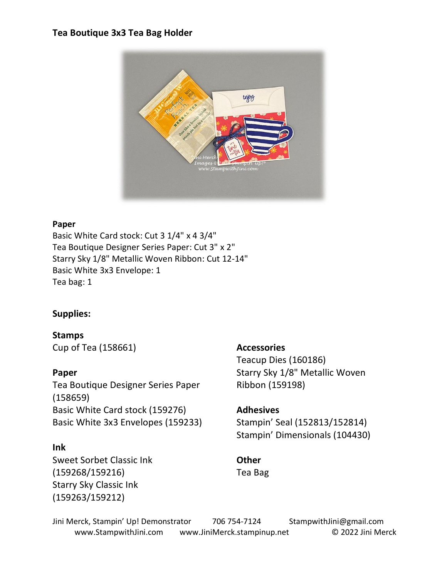#### **Tea Boutique 3x3 Tea Bag Holder**



#### **Paper**

Basic White Card stock: Cut 3 1/4" x 4 3/4" Tea Boutique Designer Series Paper: Cut 3" x 2" Starry Sky 1/8" Metallic Woven Ribbon: Cut 12-14" Basic White 3x3 Envelope: 1 Tea bag: 1

## **Supplies:**

**Stamps** Cup of Tea (158661)

#### **Paper**

Tea Boutique Designer Series Paper (158659) Basic White Card stock (159276) Basic White 3x3 Envelopes (159233)

## **Ink**

Sweet Sorbet Classic Ink (159268/159216) Starry Sky Classic Ink (159263/159212)

#### **Accessories**

Teacup Dies (160186) Starry Sky 1/8" Metallic Woven Ribbon (159198)

# **Adhesives** Stampin' Seal (152813/152814)

Stampin' Dimensionals (104430)

## **Other** Tea Bag

Jini Merck, Stampin' Up! Demonstrator 706 754-7124 StampwithJini@gmail.com www.StampwithJini.com www.JiniMerck.stampinup.net © 2022 Jini Merck